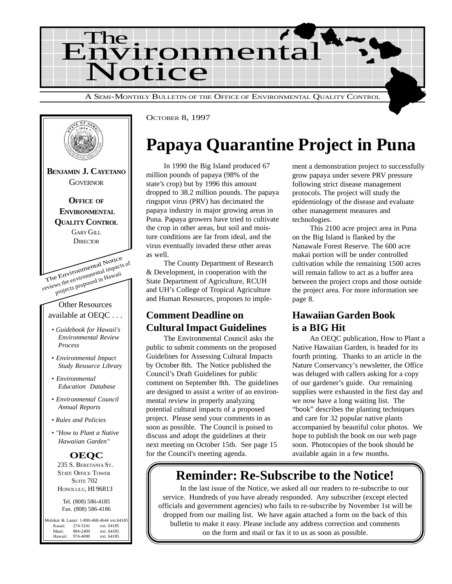



OCTOBER 8, 1997

## **Papaya Quarantine Project in Puna**

In 1990 the Big Island produced 67 million pounds of papaya (98% of the state's crop) but by 1996 this amount dropped to 38.2 million pounds. The papaya ringspot virus (PRV) has decimated the papaya industry in major growing areas in Puna. Papaya growers have tried to cultivate the crop in other areas, but soil and moisture conditions are far from ideal, and the virus eventually invaded these other areas as well.

The County Department of Research & Development, in cooperation with the State Department of Agriculture, RCUH and UH's College of Tropical Agriculture and Human Resources, proposes to imple-

### **Comment Deadline on Cultural Impact Guidelines**

The Environmental Council asks the public to submit comments on the proposed Guidelines for Assessing Cultural Impacts by October 8th. The Notice published the Council's Draft Guidelines for public comment on September 8th. The guidelines are designed to assist a writer of an environmental review in properly analyzing potential cultural impacts of a proposed project. Please send your comments in as soon as possible. The Council is poised to discuss and adopt the guidelines at their next meeting on October 15th. See page 15 for the Council's meeting agenda.

ment a demonstration project to successfully grow papaya under severe PRV pressure following strict disease management protocols. The project will study the epidemiology of the disease and evaluate other management measures and technologies.

This 2100 acre project area in Puna on the Big Island is flanked by the Nanawale Forest Reserve. The 600 acre makai portion will be under controlled cultivation while the remaining 1500 acres will remain fallow to act as a buffer area between the project crops and those outside the project area. For more information see page 8.

### **Hawaiian Garden Book is a BIG Hit**

An OEQC publication, How to Plant a Native Hawaiian Garden, is headed for its fourth printing. Thanks to an article in the Nature Conservancy's newsletter, the Office was deluged with callers asking for a copy of our gardener's guide. Our remaining supplies were exhausted in the first day and we now have a long waiting list. The "book" describes the planting techniques and care for 32 popular native plants accompanied by beautiful color photos. We hope to publish the book on our web page soon. Photocopies of the book should be available again in a few months.

## **Reminder: Re-Subscribe to the Notice!**

In the last issue of the Notice, we asked all our readers to re-subscribe to our service. Hundreds of you have already responded. Any subscriber (except elected officials and government agencies) who fails to re-subscribe by November 1st will be dropped from our mailing list. We have again attached a form on the back of this bulletin to make it easy. Please include any address correction and comments on the form and mail or fax it to us as soon as possible.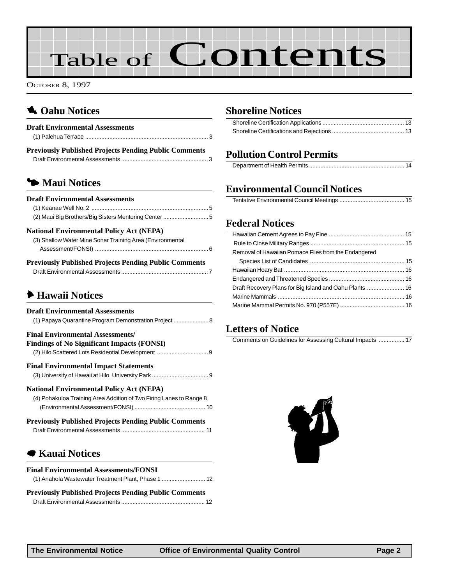# Table of Contents

OCTOBER 8, 1997

### 1 **Oahu Notices**

| <b>Draft Environmental Assessments</b>                       |  |
|--------------------------------------------------------------|--|
|                                                              |  |
| <b>Previously Published Projects Pending Public Comments</b> |  |
|                                                              |  |

### 3 **Maui Notices**

| <b>Draft Environmental Assessments</b>          |  |
|-------------------------------------------------|--|
|                                                 |  |
|                                                 |  |
| <b>National Environmental Policy Act (NEPA)</b> |  |

| <b>Depriodic Dublished Depiects Depairs Dublic Comments</b> |  |
|-------------------------------------------------------------|--|
|                                                             |  |
| (3) Shallow Water Mine Sonar Training Area (Environmental   |  |

|  | Previously Published Projects Pending Public Comments |  |
|--|-------------------------------------------------------|--|
|  |                                                       |  |

### 6 **Hawaii Notices**

| <b>Draft Environmental Assessments</b><br>(1) Papaya Quarantine Program Demonstration Project  8                       |
|------------------------------------------------------------------------------------------------------------------------|
| <b>Final Environmental Assessments/</b><br><b>Findings of No Significant Impacts (FONSI)</b>                           |
| <b>Final Environmental Impact Statements</b>                                                                           |
| <b>National Environmental Policy Act (NEPA)</b><br>(4) Pohakuloa Training Area Addition of Two Firing Lanes to Range 8 |
| <b>Previously Published Projects Pending Public Comments</b>                                                           |
| <b>■ Kauai Notices</b>                                                                                                 |

### 7 **Kauai Notices**

| <b>Final Environmental Assessments/FONSI</b> |  |
|----------------------------------------------|--|
|                                              |  |

| <b>Previously Published Projects Pending Public Comments</b> |  |
|--------------------------------------------------------------|--|
|                                                              |  |

### **[Shoreline Notices](#page-12-0)**

### **Pollution Control Permits**

|--|

### **Environmental Council Notices**

### **Federal Notices**

| Removal of Hawaiian Pomace Flies from the Endangered |  |
|------------------------------------------------------|--|
|                                                      |  |
|                                                      |  |
|                                                      |  |
|                                                      |  |
|                                                      |  |
|                                                      |  |
|                                                      |  |

### **Letters of Notice**

| Comments on Guidelines for Assessing Cultural Impacts  17 |  |
|-----------------------------------------------------------|--|
|-----------------------------------------------------------|--|

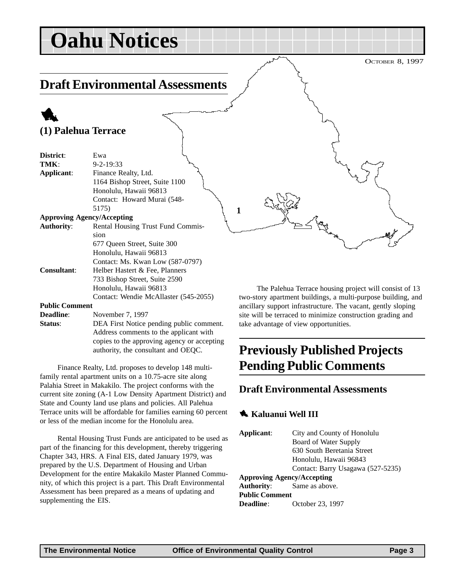## <span id="page-2-0"></span>**Oahu Notices**

### **Draft Environmental Assessments**

### 1 **(1) Palehua Terrace**

| District:             | Ewa                                   |
|-----------------------|---------------------------------------|
| TMK:                  | $9 - 2 - 19:33$                       |
| Applicant:            | Finance Realty, Ltd.                  |
|                       | 1164 Bishop Street, Suite 1100        |
|                       | Honolulu, Hawaii 96813                |
|                       | Contact: Howard Murai (548-           |
|                       | 5175)                                 |
|                       | <b>Approving Agency/Accepting</b>     |
| <b>Authority:</b>     | Rental Housing Trust Fund Commis-     |
|                       | sion                                  |
|                       | 677 Oueen Street, Suite 300           |
|                       | Honolulu, Hawaii 96813                |
|                       | Contact: Ms. Kwan Low (587-0797)      |
| <b>Consultant:</b>    | Helber Hastert & Fee, Planners        |
|                       | 733 Bishop Street, Suite 2590         |
|                       | Honolulu, Hawaii 96813                |
|                       | Contact: Wendie McAllaster (545-2055) |
| <b>Public Comment</b> |                                       |
| Deadline:             | November 7 1007                       |

**Deadline**: November 7, 1997 **Status:** DEA First Notice pending public comment. Address comments to the applicant with copies to the approving agency or accepting authority, the consultant and OEQC.

Finance Realty, Ltd. proposes to develop 148 multifamily rental apartment units on a 10.75-acre site along Palahia Street in Makakilo. The project conforms with the current site zoning (A-1 Low Density Apartment District) and State and County land use plans and policies. All Palehua Terrace units will be affordable for families earning 60 percent or less of the median income for the Honolulu area.

Rental Housing Trust Funds are anticipated to be used as part of the financing for this development, thereby triggering Chapter 343, HRS. A Final EIS, dated January 1979, was prepared by the U.S. Department of Housing and Urban Development for the entire Makakilo Master Planned Community, of which this project is a part. This Draft Environmental Assessment has been prepared as a means of updating and supplementing the EIS.

The Palehua Terrace housing project will consist of 13 two-story apartment buildings, a multi-purpose building, and ancillary support infrastructure. The vacant, gently sloping site will be terraced to minimize construction grading and take advantage of view opportunities.

### **Previously Published Projects Pending Public Comments**

### **Draft Environmental Assessments**

### 1 **Kaluanui Well III**

| City and County of Honolulu       |  |
|-----------------------------------|--|
| Board of Water Supply             |  |
| 630 South Beretania Street        |  |
| Honolulu, Hawaii 96843            |  |
| Contact: Barry Usagawa (527-5235) |  |
| <b>Approving Agency/Accepting</b> |  |
| <b>Authority:</b> Same as above.  |  |
| <b>Public Comment</b>             |  |
| October 23, 1997                  |  |
|                                   |  |

**1**

OCTOBER 8, 1997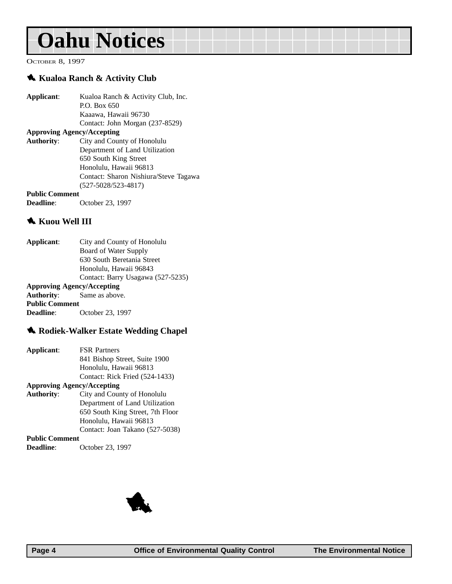## **Oahu Notices**

OCTOBER 8, 1997

#### 1 **Kualoa Ranch & Activity Club**

| Applicant:            | Kualoa Ranch & Activity Club, Inc.    |
|-----------------------|---------------------------------------|
|                       | P.O. Box 650                          |
|                       | Kaaawa, Hawaii 96730                  |
|                       | Contact: John Morgan (237-8529)       |
|                       | <b>Approving Agency/Accepting</b>     |
| <b>Authority:</b>     | City and County of Honolulu           |
|                       | Department of Land Utilization        |
|                       | 650 South King Street                 |
|                       | Honolulu, Hawaii 96813                |
|                       | Contact: Sharon Nishiura/Steve Tagawa |
|                       | $(527 - 5028/523 - 4817)$             |
| <b>Public Comment</b> |                                       |

**Deadline**: October 23, 1997

#### **K** Kuou Well III

| Applicant:            | City and County of Honolulu       |
|-----------------------|-----------------------------------|
|                       | Board of Water Supply             |
|                       | 630 South Beretania Street        |
|                       | Honolulu, Hawaii 96843            |
|                       | Contact: Barry Usagawa (527-5235) |
|                       | <b>Approving Agency/Accepting</b> |
|                       | <b>Authority:</b> Same as above.  |
| <b>Public Comment</b> |                                   |
| Deadline:             | October 23, 1997                  |
|                       |                                   |

### 1 **Rodiek-Walker Estate Wedding Chapel**

| Applicant:        | <b>FSR Partners</b>               |
|-------------------|-----------------------------------|
|                   | 841 Bishop Street, Suite 1900     |
|                   | Honolulu, Hawaii 96813            |
|                   | Contact: Rick Fried (524-1433)    |
|                   | <b>Approving Agency/Accepting</b> |
| <b>Authority:</b> | City and County of Honolulu       |
|                   | Department of Land Utilization    |
|                   | 650 South King Street, 7th Floor  |
|                   | Honolulu, Hawaii 96813            |

Contact: Joan Takano (527-5038) **Public Comment**

**October 23, 1997** 

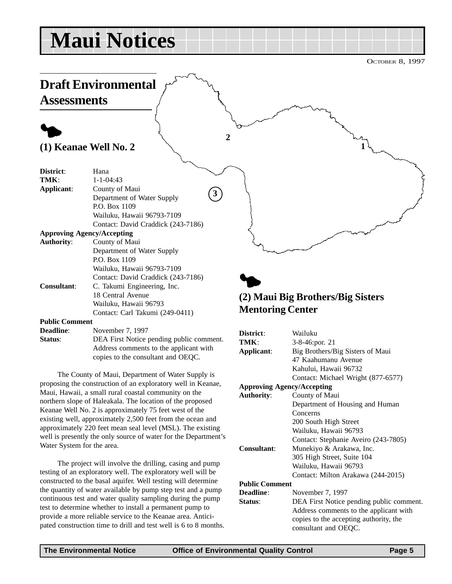## <span id="page-4-0"></span>**Maui Notices**

OCTOBER 8, 1997



The County of Maui, Department of Water Supply is proposing the construction of an exploratory well in Keanae, Maui, Hawaii, a small rural coastal community on the northern slope of Haleakala. The location of the proposed Keanae Well No. 2 is approximately 75 feet west of the existing well, approximately 2,500 feet from the ocean and approximately 220 feet mean seal level (MSL). The existing well is presently the only source of water for the Department's Water System for the area.

The project will involve the drilling, casing and pump testing of an exploratory well. The exploratory well will be constructed to the basal aquifer. Well testing will determine the quantity of water available by pump step test and a pump continuous test and water quality sampling during the pump test to determine whether to install a permanent pump to provide a more reliable service to the Keanae area. Anticipated construction time to drill and test well is 6 to 8 months.

| District:                         | Wailuku                                  |
|-----------------------------------|------------------------------------------|
| TMK:                              | $3-8-46$ : por. 21                       |
| Applicant:                        | Big Brothers/Big Sisters of Maui         |
|                                   | 47 Kaahumanu Avenue                      |
|                                   | Kahului, Hawaii 96732                    |
|                                   | Contact: Michael Wright (877-6577)       |
| <b>Approving Agency/Accepting</b> |                                          |
| <b>Authority:</b>                 | County of Maui                           |
|                                   | Department of Housing and Human          |
|                                   | Concerns                                 |
|                                   | 200 South High Street                    |
|                                   | Wailuku, Hawaii 96793                    |
|                                   | Contact: Stephanie Aveiro (243-7805)     |
| <b>Consultant:</b>                | Munekiyo & Arakawa, Inc.                 |
|                                   | 305 High Street, Suite 104               |
|                                   | Wailuku, Hawaii 96793                    |
|                                   | Contact: Milton Arakawa (244-2015)       |
| <b>Public Comment</b>             |                                          |
| Deadline:                         | November 7, 1997                         |
| Status:                           | DEA First Notice pending public comment. |
|                                   | Address comments to the applicant with   |
|                                   | copies to the accepting authority, the   |
|                                   | consultant and OEQC.                     |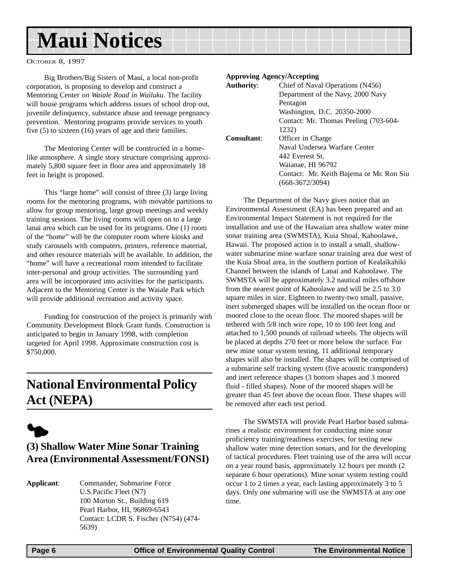## <span id="page-5-0"></span>**Maui Notices**

OCTOBER 8, 1997

Big Brothers/Big Sisters of Maui, a local non-profit corporation, is proposing to develop and construct a Mentoring Center *on Waiale Road in Wailuku*. The facility will house programs which address issues of school drop out, juvenile delinquency, substance abuse and teenage pregnancy prevention. Mentoring programs provide services to youth five (5) to sixteen (16) years of age and their families.

The Mentoring Center will be constructed in a homelike atmosphere. A single story structure comprising approximately 5,800 square feet in floor area and approximately 18 feet in height is proposed.

This "large home" will consist of three (3) large living rooms for the mentoring programs, with movable partitions to allow for group mentoring, large group meetings and weekly training sessions. The living rooms will open on to a large lanai area which can be used for its programs. One (1) room of the "home" will be the computer room where kiosks and study carousels with computers, printers, reference material, and other resource materials will be available. In addition, the "home" will have a recreational room intended to facilitate inter-personal and group activities. The surrounding yard area will be incorporated into activities for the participants. Adjacent to the Mentoring Center is the Waiale Park which will provide additional recreation and activity space.

Funding for construction of the project is primarily with Community Development Block Grant funds. Construction is anticipated to begin in January 1998, with completion targeted for April 1998. Approximate construction cost is \$750,000.

### **National Environmental Policy Act (NEPA)**



### **(3) Shallow Water Mine Sonar Training Area (Environmental Assessment/FONSI)**

**Applicant**: Commander, Submarine Force U.S.Pacific Fleet (N7) 100 Morton St., Building 619 Pearl Harbor, HI, 96869-6543 Contact: LCDR S. Fischer (N754) (474- 5639)

#### **Approving Agency/Accepting**

| <b>Authority:</b>  | Chief of Naval Operations (N456)         |
|--------------------|------------------------------------------|
|                    | Department of the Navy, 2000 Navy        |
|                    | Pentagon                                 |
|                    | Washington, D.C. 20350-2000              |
|                    | Contact: Mr. Thomas Peeling (703-604-    |
|                    | 1232)                                    |
| <b>Consultant:</b> | Officer in Charge                        |
|                    | Naval Undersea Warfare Center            |
|                    | 442 Everest St.                          |
|                    | Waianae, HI 96792                        |
|                    | Contact: Mr. Keith Bajema or Mr. Ron Siu |
|                    | $(668-3672/3094)$                        |
|                    |                                          |

The Department of the Navy gives notice that an Environmental Assessment (EA) has been prepared and an Environmental Impact Statement is not required for the installation and use of the Hawaiian area shallow water mine sonar training area (SWMSTA), Kuia Shoal, Kahoolawe, Hawaii. The proposed action is to install a small, shallowwater submarine mine warfare sonar training area due west of the Kuia Shoal area, in the southern portion of Kealaikahiki Channel between the islands of Lanai and Kahoolawe. The SWMSTA will be approximately 3.2 nautical miles offshore from the nearest point of Kahoolawe and will be 2.5 to 3.0 square miles in size. Eighteen to twenty-two small, passive, inert submerged shapes will be installed on the ocean floor or moored close to the ocean floor. The moored shapes will be tethered with 5/8 inch wire rope, 10 to 100 feet long and attached to 1,500 pounds of railroad wheels. The objects will be placed at depths 270 feet or more below the surface. For new mine sonar system testing, 11 additional temporary shapes will also be installed. The shapes will be comprised of a submarine self tracking system (five acoustic transponders) and inert reference shapes (3 bottom shapes and 3 moored fluid - filled shapes). None of the moored shapes will be greater than 45 feet above the ocean floor. These shapes will be removed after each test period.

The SWMSTA will provide Pearl Harbor based submarines a realistic environment for conducting mine sonar proficiency training/readiness exercises, for testing new shallow water mine detection sonars, and for the developing of tactical procedures. Fleet training use of the area will occur on a year round basis, approximately 12 hours per month (2 separate 6 hour operations). Mine sonar system testing could occur 1 to 2 times a year, each lasting approximately 3 to 5 days. Only one submarine will use the SWMSTA at any one time.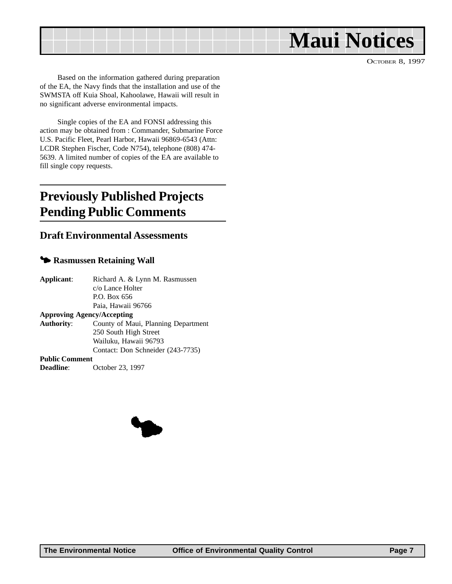<span id="page-6-0"></span>

OCTOBER 8, 1997

Based on the information gathered during preparation of the EA, the Navy finds that the installation and use of the SWMSTA off Kuia Shoal, Kahoolawe, Hawaii will result in no significant adverse environmental impacts.

Single copies of the EA and FONSI addressing this action may be obtained from : Commander, Submarine Force U.S. Pacific Fleet, Pearl Harbor, Hawaii 96869-6543 (Attn: LCDR Stephen Fischer, Code N754), telephone (808) 474- 5639. A limited number of copies of the EA are available to fill single copy requests.

### **Previously Published Projects Pending Public Comments**

### **Draft Environmental Assessments**

#### $\blacktriangleright$  **Rasmussen Retaining Wall**

| Applicant:            | Richard A. & Lynn M. Rasmussen      |
|-----------------------|-------------------------------------|
|                       | c/o Lance Holter                    |
|                       | P.O. Box 656                        |
|                       | Paia, Hawaii 96766                  |
|                       | <b>Approving Agency/Accepting</b>   |
| Authority:            | County of Maui, Planning Department |
|                       | 250 South High Street               |
|                       | Wailuku, Hawaii 96793               |
|                       | Contact: Don Schneider (243-7735)   |
| <b>Public Comment</b> |                                     |
| <b>Deadline:</b>      | October 23, 1997                    |

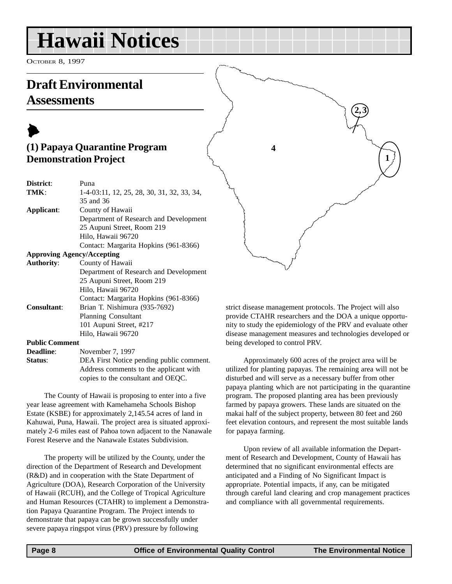<span id="page-7-0"></span>OCTOBER 8, 1997

### **Draft Environmental Assessments**



| District:                         | Puna                                       |
|-----------------------------------|--------------------------------------------|
| TMK:                              | 1-4-03:11, 12, 25, 28, 30, 31, 32, 33, 34, |
|                                   | 35 and 36                                  |
| Applicant:                        | County of Hawaii                           |
|                                   | Department of Research and Development     |
|                                   | 25 Aupuni Street, Room 219                 |
|                                   | Hilo, Hawaii 96720                         |
|                                   | Contact: Margarita Hopkins (961-8366)      |
| <b>Approving Agency/Accepting</b> |                                            |
| <b>Authority:</b>                 | County of Hawaii                           |
|                                   | Department of Research and Development     |
|                                   | 25 Aupuni Street, Room 219                 |
|                                   | Hilo, Hawaii 96720                         |
|                                   | Contact: Margarita Hopkins (961-8366)      |
| <b>Consultant:</b>                | Brian T. Nishimura (935-7692)              |
|                                   | <b>Planning Consultant</b>                 |
|                                   | 101 Aupuni Street, #217                    |
|                                   | Hilo, Hawaii 96720                         |
|                                   |                                            |

**Public Comment**

| <b>Deadline:</b> | November 7, 1997                         |
|------------------|------------------------------------------|
| Status:          | DEA First Notice pending public comment. |
|                  | Address comments to the applicant with   |
|                  | copies to the consultant and OEQC.       |

The County of Hawaii is proposing to enter into a five year lease agreement with Kamehameha Schools Bishop Estate (KSBE) for approximately 2,145.54 acres of land in Kahuwai, Puna, Hawaii. The project area is situated approximately 2-6 miles east of Pahoa town adjacent to the Nanawale Forest Reserve and the Nanawale Estates Subdivision.

The property will be utilized by the County, under the direction of the Department of Research and Development (R&D) and in cooperation with the State Department of Agriculture (DOA), Research Corporation of the University of Hawaii (RCUH), and the College of Tropical Agriculture and Human Resources (CTAHR) to implement a Demonstration Papaya Quarantine Program. The Project intends to demonstrate that papaya can be grown successfully under severe papaya ringspot virus (PRV) pressure by following

strict disease management protocols. The Project will also provide CTAHR researchers and the DOA a unique opportunity to study the epidemiology of the PRV and evaluate other disease management measures and technologies developed or being developed to control PRV.

Approximately 600 acres of the project area will be utilized for planting papayas. The remaining area will not be disturbed and will serve as a necessary buffer from other papaya planting which are not participating in the quarantine program. The proposed planting area has been previously farmed by papaya growers. These lands are situated on the makai half of the subject property, between 80 feet and 260 feet elevation contours, and represent the most suitable lands for papaya farming.

Upon review of all available information the Department of Research and Development, County of Hawaii has determined that no significant environmental effects are anticipated and a Finding of No Significant Impact is appropriate. Potential impacts, if any, can be mitigated through careful land clearing and crop management practices and compliance with all governmental requirements.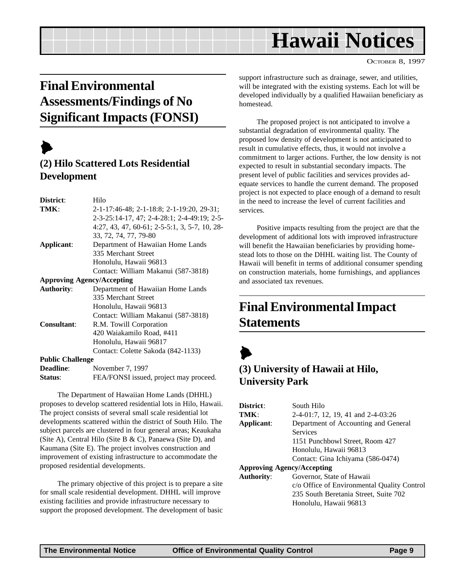#### OCTOBER 8, 1997

### <span id="page-8-0"></span>**Final Environmental Assessments/Findings of No Significant Impacts (FONSI)**

## $\blacktriangleright$

### **(2) Hilo Scattered Lots Residential Development**

| District:               | Hilo                                          |
|-------------------------|-----------------------------------------------|
| TMK:                    | 2-1-17:46-48; 2-1-18:8; 2-1-19:20, 29-31;     |
|                         | 2-3-25:14-17, 47; 2-4-28:1; 2-4-49:19; 2-5-   |
|                         | 4:27, 43, 47, 60-61; 2-5-5:1, 3, 5-7, 10, 28- |
|                         | 33, 72, 74, 77, 79-80                         |
| Applicant:              | Department of Hawaiian Home Lands             |
|                         | 335 Merchant Street                           |
|                         | Honolulu, Hawaii 96813                        |
|                         | Contact: William Makanui (587-3818)           |
|                         | <b>Approving Agency/Accepting</b>             |
| <b>Authority:</b>       | Department of Hawaiian Home Lands             |
|                         | 335 Merchant Street                           |
|                         | Honolulu, Hawaii 96813                        |
|                         | Contact: William Makanui (587-3818)           |
| <b>Consultant:</b>      | R.M. Towill Corporation                       |
|                         | 420 Waiakamilo Road, #411                     |
|                         | Honolulu, Hawaii 96817                        |
|                         | Contact: Colette Sakoda (842-1133)            |
| <b>Public Challenge</b> |                                               |
| <b>Deadline:</b>        | November 7, 1997                              |
| Status:                 | FEA/FONSI issued, project may proceed.        |

The Department of Hawaiian Home Lands (DHHL) proposes to develop scattered residential lots in Hilo, Hawaii. The project consists of several small scale residential lot developments scattered within the district of South Hilo. The subject parcels are clustered in four general areas; Keaukaha (Site A), Central Hilo (Site B & C), Panaewa (Site D), and Kaumana (Site E). The project involves construction and improvement of existing infrastructure to accommodate the proposed residential developments.

The primary objective of this project is to prepare a site for small scale residential development. DHHL will improve existing facilities and provide infrastructure necessary to support the proposed development. The development of basic support infrastructure such as drainage, sewer, and utilities, will be integrated with the existing systems. Each lot will be developed individually by a qualified Hawaiian beneficiary as homestead.

The proposed project is not anticipated to involve a substantial degradation of environmental quality. The proposed low density of development is not anticipated to result in cumulative effects, thus, it would not involve a commitment to larger actions. Further, the low density is not expected to result in substantial secondary impacts. The present level of public facilities and services provides adequate services to handle the current demand. The proposed project is not expected to place enough of a demand to result in the need to increase the level of current facilities and services.

Positive impacts resulting from the project are that the development of additional lots with improved infrastructure will benefit the Hawaiian beneficiaries by providing homestead lots to those on the DHHL waiting list. The County of Hawaii will benefit in terms of additional consumer spending on construction materials, home furnishings, and appliances and associated tax revenues.

### **Final Environmental Impact Statements**

## $\blacktriangleright$

### **(3) University of Hawaii at Hilo, University Park**

| District:                         | South Hilo                                  |
|-----------------------------------|---------------------------------------------|
| TMK:                              | 2-4-01:7, 12, 19, 41 and 2-4-03:26          |
| Applicant:                        | Department of Accounting and General        |
|                                   | <b>Services</b>                             |
|                                   | 1151 Punchbowl Street, Room 427             |
|                                   | Honolulu, Hawaii 96813                      |
|                                   | Contact: Gina Ichiyama (586-0474)           |
| <b>Approving Agency/Accepting</b> |                                             |
| <b>Authority:</b>                 | Governor, State of Hawaii                   |
|                                   | c/o Office of Environmental Quality Control |
|                                   | 235 South Beretania Street, Suite 702       |
|                                   | Honolulu, Hawaii 96813                      |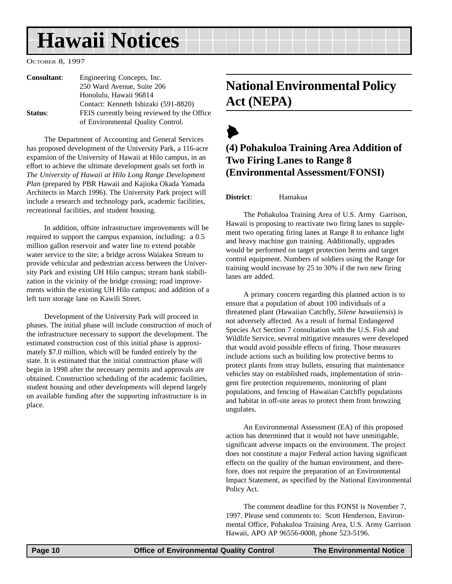<span id="page-9-0"></span>OCTOBER 8, 1997

| <b>Consultant:</b> | Engineering Concepts, Inc.                  |
|--------------------|---------------------------------------------|
|                    | 250 Ward Avenue, Suite 206                  |
|                    | Honolulu, Hawaii 96814                      |
|                    | Contact: Kenneth Ishizaki (591-8820)        |
| Status:            | FEIS currently being reviewed by the Office |
|                    | of Environmental Quality Control.           |

The Department of Accounting and General Services has proposed development of the University Park, a 116-acre expansion of the University of Hawaii at Hilo campus, in an effort to achieve the ultimate development goals set forth in *The University of Hawaii at Hilo Long Range Development Plan* (prepared by PBR Hawaii and Kajioka Okada Yamada Architects in March 1996). The University Park project will include a research and technology park, academic facilities, recreational facilities, and student housing.

In addition, offsite infrastructure improvements will be required to support the campus expansion, including: a 0.5 million gallon reservoir and water line to extend potable water service to the site; a bridge across Waiakea Stream to provide vehicular and pedestrian access between the University Park and existing UH Hilo campus; stream bank stabilization in the vicinity of the bridge crossing; road improvements within the existing UH Hilo campus; and addition of a left turn storage lane on Kawili Street.

Development of the University Park will proceed in phases. The initial phase will include construction of much of the infrastructure necessary to support the development. The estimated construction cost of this initial phase is approximately \$7.0 million, which will be funded entirely by the state. It is estimated that the initial construction phase will begin in 1998 after the necessary permits and approvals are obtained. Construction scheduling of the academic facilities, student housing and other developments will depend largely on available funding after the supporting infrastructure is in place.

### **National Environmental Policy Act (NEPA)**

### $\blacktriangleright$ **(4) Pohakuloa Training Area Addition of Two Firing Lanes to Range 8 (Environmental Assessment/FONSI)**

#### **District**: Hamakua

The Pohakuloa Training Area of U.S. Army Garrison, Hawaii is proposing to reactivate two firing lanes to supplement two operating firing lanes at Range 8 to enhance light and heavy machine gun training. Additionally, upgrades would be performed on target protection berms and target control equipment. Numbers of soldiers using the Range for training would increase by 25 to 30% if the two new firing lanes are added.

A primary concern regarding this planned action is to ensure that a population of about 100 individuals of a threatened plant (Hawaiian Catchfly, *Silene hawaiiensis*) is not adversely affected. As a result of formal Endangered Species Act Section 7 consultation with the U.S. Fish and Wildlife Service, several mitigative measures were developed that would avoid possible effects of firing. Those measures include actions such as building low protective berms to protect plants from stray bullets, ensuring that maintenance vehicles stay on established roads, implementation of stringent fire protection requirements, monitoring of plant populations, and fencing of Hawaiian Catchfly populations and habitat in off-site areas to protect them from browzing ungulates.

An Environmental Assessment (EA) of this proposed action has determined that it would not have unmitigable, significant adverse impacts on the environment. The project does not constitute a major Federal action having significant effects on the quality of the human environment, and therefore, does not require the preparation of an Environmental Impact Statement, as specified by the National Environmental Policy Act.

The comment deadline for this FONSI is November 7, 1997. Please send comments to: Scott Henderson, Environmental Office, Pohakuloa Training Area, U.S. Army Garrison Hawaii, APO AP 96556-0008, phone 523-5196.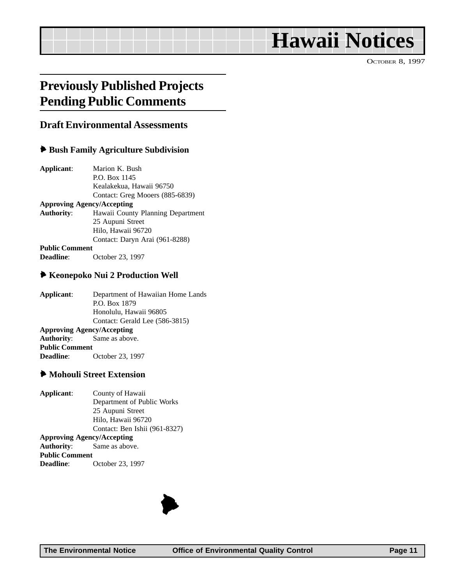OCTOBER 8, 1997

### <span id="page-10-0"></span>**Previously Published Projects Pending Public Comments**

### **Draft Environmental Assessments**

#### 6 **Bush Family Agriculture Subdivision**

| Applicant:            | Marion K. Bush                    |  |  |
|-----------------------|-----------------------------------|--|--|
|                       | P.O. Box 1145                     |  |  |
|                       | Kealakekua, Hawaii 96750          |  |  |
|                       | Contact: Greg Mooers (885-6839)   |  |  |
|                       | <b>Approving Agency/Accepting</b> |  |  |
| <b>Authority:</b>     | Hawaii County Planning Department |  |  |
|                       | 25 Aupuni Street                  |  |  |
|                       | Hilo, Hawaii 96720                |  |  |
|                       | Contact: Daryn Arai (961-8288)    |  |  |
| <b>Public Comment</b> |                                   |  |  |
| <b>Deadline:</b>      | October 23, 1997                  |  |  |

#### 6 **Keonepoko Nui 2 Production Well**

**Applicant**: Department of Hawaiian Home Lands P.O. Box 1879 Honolulu, Hawaii 96805 Contact: Gerald Lee (586-3815) **Approving Agency/Accepting Authority**: Same as above. **Public Comment Deadline**: October 23, 1997

#### 6 **Mohouli Street Extension**

**Applicant**: County of Hawaii Department of Public Works 25 Aupuni Street Hilo, Hawaii 96720 Contact: Ben Ishii (961-8327) **Approving Agency/Accepting Authority**: Same as above. **Public Comment Deadline**: October 23, 1997

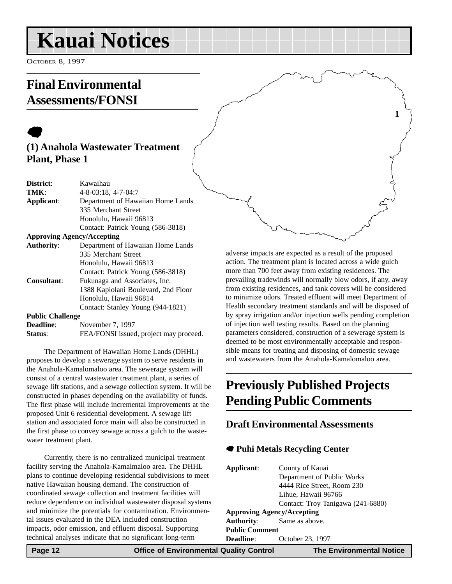## <span id="page-11-0"></span>**Kauai Notices**

OCTOBER 8, 1997

### **Final Environmental Assessments/FONSI**

### $\bullet$ **(1) Anahola Wastewater Treatment Plant, Phase 1**

| District:                         | Kawaihau                            |  |  |
|-----------------------------------|-------------------------------------|--|--|
| TMK:                              | $4 - 8 - 03$ : 18, $4 - 7 - 04$ : 7 |  |  |
| Applicant:                        | Department of Hawaiian Home Lands   |  |  |
|                                   | 335 Merchant Street                 |  |  |
|                                   | Honolulu, Hawaii 96813              |  |  |
|                                   | Contact: Patrick Young (586-3818)   |  |  |
| <b>Approving Agency/Accepting</b> |                                     |  |  |
| <b>Authority:</b>                 | Department of Hawaiian Home Lands   |  |  |
|                                   | 335 Merchant Street                 |  |  |
|                                   | Honolulu, Hawaii 96813              |  |  |
|                                   | Contact: Patrick Young (586-3818)   |  |  |
| <b>Consultant:</b>                | Fukunaga and Associates, Inc.       |  |  |
|                                   | 1388 Kapiolani Boulevard, 2nd Floor |  |  |
|                                   | Honolulu, Hawaii 96814              |  |  |
|                                   | Contact: Stanley Young (944-1821)   |  |  |
| <b>Public Challenge</b>           |                                     |  |  |
| Deadline:                         | November 7 1007                     |  |  |

| <b>Deadline:</b> | November 7, 1997                       |
|------------------|----------------------------------------|
| Status:          | FEA/FONSI issued, project may proceed. |

The Department of Hawaiian Home Lands (DHHL) proposes to develop a sewerage system to serve residents in the Anahola-Kamalomaloo area. The sewerage system will consist of a central wastewater treatment plant, a series of sewage lift stations, and a sewage collection system. It will be constructed in phases depending on the availability of funds. The first phase will include incremental improvements at the proposed Unit 6 residential development. A sewage lift station and associated force main will also be constructed in the first phase to convey sewage across a gulch to the wastewater treatment plant.

Currently, there is no centralized municipal treatment facility serving the Anahola-Kamalmaloo area. The DHHL plans to continue developing residential subdivisions to meet native Hawaiian housing demand. The construction of coordinated sewage collection and treatment facilities will reduce dependence on individual wastewater disposal systems and minimize the potentials for contamination. Environmental issues evaluated in the DEA included construction impacts, odor emission, and effluent disposal. Supporting technical analyses indicate that no significant long-term

adverse impacts are expected as a result of the proposed action. The treatment plant is located across a wide gulch more than 700 feet away from existing residences. The prevailing tradewinds will normally blow odors, if any, away from existing residences, and tank covers will be considered to minimize odors. Treated effluent will meet Department of Health secondary treatment standards and will be disposed of by spray irrigation and/or injection wells pending completion of injection well testing results. Based on the planning parameters considered, construction of a sewerage system is deemed to be most environmentally acceptable and responsible means for treating and disposing of domestic sewage and wastewaters from the Anahola-Kamalomaloo area.

**1**

## **Previously Published Projects Pending Public Comments**

### **Draft Environmental Assessments**

### 7 **Puhi Metals Recycling Center**

| Applicant:                        | County of Kauai                   |  |  |  |
|-----------------------------------|-----------------------------------|--|--|--|
|                                   | Department of Public Works        |  |  |  |
|                                   | 4444 Rice Street, Room 230        |  |  |  |
|                                   | Lihue, Hawaii 96766               |  |  |  |
|                                   | Contact: Troy Tanigawa (241-6880) |  |  |  |
| <b>Approving Agency/Accepting</b> |                                   |  |  |  |
|                                   | <b>Authority:</b> Same as above.  |  |  |  |
| <b>Public Comment</b>             |                                   |  |  |  |
| Deadline:                         | October 23, 1997                  |  |  |  |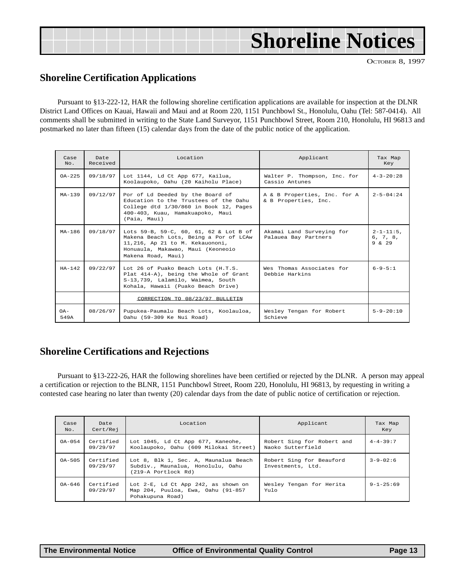<span id="page-12-0"></span>

|  |  | <b>Shoreline Notices</b> |
|--|--|--------------------------|
|  |  |                          |

OCTOBER 8, 1997

### **Shoreline Certification Applications**

Pursuant to §13-222-12, HAR the following shoreline certification applications are available for inspection at the DLNR District Land Offices on Kauai, Hawaii and Maui and at Room 220, 1151 Punchbowl St., Honolulu, Oahu (Tel: 587-0414). All comments shall be submitted in writing to the State Land Surveyor, 1151 Punchbowl Street, Room 210, Honolulu, HI 96813 and postmarked no later than fifteen (15) calendar days from the date of the public notice of the application. **Shoreline Notices**<br> **Shoreline Notices**<br> **Shoreline Notices**<br> **Shoreline Notices**<br> **Shoreline Notices**<br> **Shoreline Notices**<br> **Shoreline Notices**<br> **Shoreline Notices**<br> **Shoreline Notices**<br> **Shoreline Notice** 

| Case<br>No.    | Date<br>Received | Location<br>Applicant                                                                                                                                                          |                                                      | Tax Map<br>Key                            |
|----------------|------------------|--------------------------------------------------------------------------------------------------------------------------------------------------------------------------------|------------------------------------------------------|-------------------------------------------|
| $OA - 225$     | 09/18/97         | Lot 1144, Ld Ct App 677, Kailua,<br>Koolaupoko, Oahu (20 Kaiholu Place)                                                                                                        | Walter P. Thompson, Inc. for<br>Cassio Antunes       | $4 - 3 - 20:28$                           |
| $MA-1.39$      | 09/12/97         | Por of Ld Deeded by the Board of<br>Education to the Trustees of the Oahu<br>College dtd 1/30/860 in Book 12, Pages<br>400-403, Kuau, Hamakuapoko, Maui<br>(Paia, Maui)        | A & B Properties, Inc. for A<br>& B Properties, Inc. |                                           |
| $MA-186$       | 09/18/97         | Lots 59-B, 59-C, 60, 61, 62 & Lot B of<br>Makena Beach Lots, Being a Por of LCAw<br>11,216, Ap 21 to M. Kekauononi,<br>Honuaula, Makawao, Maui (Keoneoio<br>Makena Road, Maui) | Akamai Land Surveying for<br>Palauea Bay Partners    | $2 - 1 - 11:5$ .<br>6, 7, 8,<br>$9 \& 29$ |
| $HA-142$       | 09/22/97         | Lot 26 of Puako Beach Lots (H.T.S.<br>Plat 414-A), being the Whole of Grant<br>S-13,739, Lalamilo, Waimea, South<br>Kohala, Hawaii (Puako Beach Drive)                         | Wes Thomas Associates for<br>Debbie Harkins          | $6 - 9 - 5:1$                             |
|                |                  | CORRECTION TO 08/23/97 BULLETIN                                                                                                                                                |                                                      |                                           |
| $OA -$<br>549A | 08/26/97         | Pupukea-Paumalu Beach Lots, Koolauloa,<br>Oahu (59-309 Ke Nui Road)                                                                                                            | Wesley Tengan for Robert<br>Schieve                  | $5 - 9 - 20:10$                           |

### **Shoreline Certifications and Rejections**

Pursuant to §13-222-26, HAR the following shorelines have been certified or rejected by the DLNR. A person may appeal a certification or rejection to the BLNR, 1151 Punchbowl Street, Room 220, Honolulu, HI 96813, by requesting in writing a contested case hearing no later than twenty (20) calendar days from the date of public notice of certification or rejection.

| Case<br>No. | Date<br>Cert/Rej                                                                                    | Location                                                                                         | Applicant                                       | Tax Map<br>Key  |
|-------------|-----------------------------------------------------------------------------------------------------|--------------------------------------------------------------------------------------------------|-------------------------------------------------|-----------------|
| $OA-054$    | Certified<br>Lot 1045, Ld Ct App 677, Kaneohe,<br>09/29/97<br>Koolaupoko, Oahu (609 Milokai Street) |                                                                                                  | Robert Sing for Robert and<br>Naoko Sutterfield | $4 - 4 - 39:7$  |
| $0A - 505$  | Certified<br>09/29/97                                                                               | Lot 8, Blk 1, Sec. A, Maunalua Beach<br>Subdiv., Maunalua, Honolulu, Oahu<br>(219-A Portlock Rd) | Robert Sing for Beauford<br>Investments, Ltd.   | $3 - 9 - 02:6$  |
| $0A-646$    | Certified<br>09/29/97                                                                               | Lot 2-E, Ld Ct App 242, as shown on<br>Map 204, Puuloa, Ewa, Oahu (91-857<br>Pohakupuna Road)    | Wesley Tengan for Herita<br>Yulo                | $9 - 1 - 25:69$ |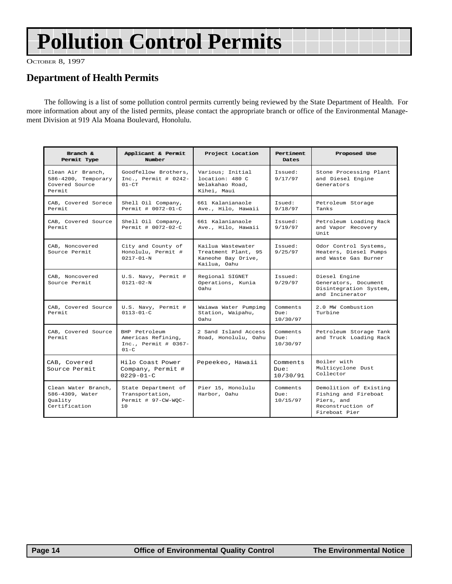## <span id="page-13-0"></span>**Pollution Control Permits**

OCTOBER 8, 1997

### **Department of Health Permits**

The following is a list of some pollution control permits currently being reviewed by the State Department of Health. For more information about any of the listed permits, please contact the appropriate branch or office of the Environmental Management Division at 919 Ala Moana Boulevard, Honolulu.

| Bramch &<br>Permit Type                                              | Applicant & Permit<br>Number                                               | Project Location                                                               | Pert inent.<br><b>Dates</b>  | Proposed Use                                                                                       |
|----------------------------------------------------------------------|----------------------------------------------------------------------------|--------------------------------------------------------------------------------|------------------------------|----------------------------------------------------------------------------------------------------|
| Clean Air Branch,<br>586-4200, Temporary<br>Covered Source<br>Permit | Goodfellow Brothers.<br>$Inc.$ Permit # 0242-<br>$01 - C$ T                | Various; Initial<br>location: 480 C<br>Welakahao Road,<br>Kihei, Maui          | Issued:<br>9/17/97           | Stone Processing Plant<br>and Diesel Engine<br>Generators                                          |
| CAB, Covered Sorece<br>Permit                                        | Shell Oil Company,<br>Permit # 0072-01-C                                   | 661 Kalanianaole<br>Ave., Hilo, Hawaii                                         | : beusT<br>9/18/97           | Petroleum Storage<br>Tanks                                                                         |
| CAB, Covered Source<br>Permit.                                       | Shell Oil Company,<br>Permit # 0072-02-C                                   | 661 Kalanianaole<br>Ave., Hilo, Hawaii                                         | Issued:<br>9/19/97           | Petroleum Loading Rack<br>and Vapor Recovery<br>Unit                                               |
| CAB, Noncovered<br>Source Permit                                     | City and County of<br>Honolulu, Permit #<br>$0217 - 01 - N$                | Kailua Wastewater<br>Treatment Plant, 95<br>Kaneohe Bay Drive,<br>Kailua, Oahu | Tssued:<br>9/25/97           | Odor Control Systems,<br>Heaters, Diesel Pumps<br>and Waste Gas Burner                             |
| CAB, Noncovered<br>Source Permit                                     | U.S. Navy, Permit #<br>$0121 - 02 - N$                                     | Regional SIGNET<br>Operations, Kunia<br>Oahu                                   | Tssued:<br>9/29/97           | Diesel Engine<br>Generators, Document<br>Disintegration System,<br>and Incinerator                 |
| CAB, Covered Source<br>Permit                                        | U.S. Navy, Permit #<br>$0113 - 01 - C$                                     | Waiawa Water Pumpimg<br>Station, Waipahu,<br>Oahu                              | Comments<br>Due:<br>10/30/97 | 2.0 MW Combustion<br>Turbine                                                                       |
| CAB, Covered Source<br>Permit                                        | BHP Petroleum<br>Americas Refining,<br>Inc., Permit # $0367 -$<br>$01 - C$ | 2 Sand Island Access<br>Road, Honolulu, Oahu                                   | Comments<br>Due:<br>10/30/97 | Petroleum Storage Tank<br>and Truck Loading Rack                                                   |
| CAB, Covered<br>Source Permit                                        | Hilo Coast Power<br>Company, Permit #<br>$0229 - 01 - C$                   | Pepeekeo, Hawaii                                                               | Comments<br>Due:<br>10/30/91 | Boiler with<br>Multicyclone Dust<br>Collector                                                      |
| Clean Water Branch,<br>586-4309, Water<br>Ouality<br>Certification   | State Department of<br>Transportation,<br>Permit # 97-CW-WOC-<br>10        | Pier 15, Honolulu<br>Harbor, Oahu                                              | Comments<br>Due:<br>10/15/97 | Demolition of Existing<br>Fishing and Fireboat<br>Piers, and<br>Reconstruction of<br>Fireboat Pier |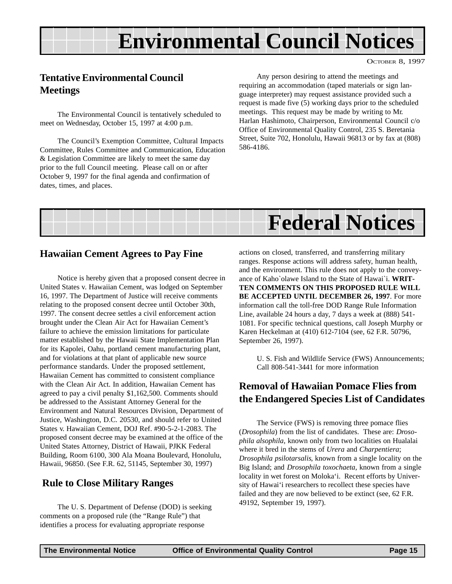## **Environmental Council Notices**

OCTOBER 8, 1997

### <span id="page-14-0"></span>**Tentative Environmental Council Meetings**

The Environmental Council is tentatively scheduled to meet on Wednesday, October 15, 1997 at 4:00 p.m.

The Council's Exemption Committee, Cultural Impacts Committee, Rules Committee and Communication, Education & Legislation Committee are likely to meet the same day prior to the full Council meeting. Please call on or after October 9, 1997 for the final agenda and confirmation of dates, times, and places.

Any person desiring to attend the meetings and requiring an accommodation (taped materials or sign language interpreter) may request assistance provided such a request is made five (5) working days prior to the scheduled meetings. This request may be made by writing to Mr. Harlan Hashimoto, Chairperson, Environmental Council c/o Office of Environmental Quality Control, 235 S. Beretania Street, Suite 702, Honolulu, Hawaii 96813 or by fax at (808) 586-4186.



### **Hawaiian Cement Agrees to Pay Fine**

Notice is hereby given that a proposed consent decree in United States v. Hawaiian Cement, was lodged on September 16, 1997. The Department of Justice will receive comments relating to the proposed consent decree until October 30th, 1997. The consent decree settles a civil enforcement action brought under the Clean Air Act for Hawaiian Cement's failure to achieve the emission limitations for particulate matter established by the Hawaii State Implementation Plan for its Kapolei, Oahu, portland cement manufacturing plant, and for violations at that plant of applicable new source performance standards. Under the proposed settlement, Hawaiian Cement has committed to consistent compliance with the Clean Air Act. In addition, Hawaiian Cement has agreed to pay a civil penalty \$1,162,500. Comments should be addressed to the Assistant Attorney General for the Environment and Natural Resources Division, Department of Justice, Washington, D.C. 20530, and should refer to United States v. Hawaiian Cement, DOJ Ref. #90-5-2-1-2083. The proposed consent decree may be examined at the office of the United States Attorney, District of Hawaii, PJKK Federal Building, Room 6100, 300 Ala Moana Boulevard, Honolulu, Hawaii, 96850. (See F.R. 62, 51145, September 30, 1997)

### **Rule to Close Military Ranges**

The U. S. Department of Defense (DOD) is seeking comments on a proposed rule (the "Range Rule") that identifies a process for evaluating appropriate response

actions on closed, transferred, and transferring military ranges. Response actions will address safety, human health, and the environment. This rule does not apply to the conveyance of Kaho`olawe Island to the State of Hawai`i. **WRIT-TEN COMMENTS ON THIS PROPOSED RULE WILL BE ACCEPTED UNTIL DECEMBER 26, 1997**. For more information call the toll-free DOD Range Rule Information Line, available 24 hours a day, 7 days a week at (888) 541- 1081. For specific technical questions, call Joseph Murphy or Karen Heckelman at (410) 612-7104 (see, 62 F.R. 50796, September 26, 1997).

U. S. Fish and Wildlife Service (FWS) Announcements; Call 808-541-3441 for more information

### **Removal of Hawaiian Pomace Flies from the Endangered Species List of Candidates**

The Service (FWS) is removing three pomace flies (*Drosophila*) from the list of candidates. These are: *Drosophila alsophila*, known only from two localities on Hualalai where it bred in the stems of *Urera* and *Charpentiera*; *Drosophila psilotarsalis*, known from a single locality on the Big Island; and *Drosophila toxochaeta*, known from a single locality in wet forest on Moloka'i. Recent efforts by University of Hawai'i researchers to recollect these species have failed and they are now believed to be extinct (see, 62 F.R. 49192, September 19, 1997).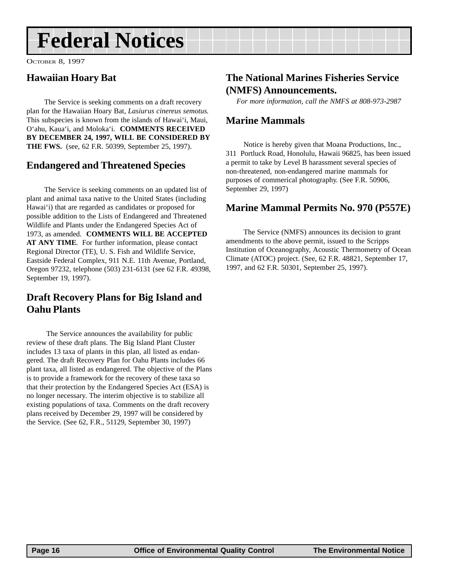## <span id="page-15-0"></span>**Federal Notices**

OCTOBER 8, 1997

### **Hawaiian Hoary Bat**

The Service is seeking comments on a draft recovery plan for the Hawaiian Hoary Bat, *Lasiurus cinereus semotus*. This subspecies is known from the islands of Hawai'i, Maui, O'ahu, Kaua'i, and Moloka'i. **COMMENTS RECEIVED BY DECEMBER 24, 1997, WILL BE CONSIDERED BY THE FWS.** (see, 62 F.R. 50399, September 25, 1997).

### **Endangered and Threatened Species**

The Service is seeking comments on an updated list of plant and animal taxa native to the United States (including Hawai'i) that are regarded as candidates or proposed for possible addition to the Lists of Endangered and Threatened Wildlife and Plants under the Endangered Species Act of 1973, as amended. **COMMENTS WILL BE ACCEPTED AT ANY TIME**. For further information, please contact Regional Director (TE), U. S. Fish and Wildlife Service, Eastside Federal Complex, 911 N.E. 11th Avenue, Portland, Oregon 97232, telephone (503) 231-6131 (see 62 F.R. 49398, September 19, 1997).

### **Draft Recovery Plans for Big Island and Oahu Plants**

 The Service announces the availability for public review of these draft plans. The Big Island Plant Cluster includes 13 taxa of plants in this plan, all listed as endangered. The draft Recovery Plan for Oahu Plants includes 66 plant taxa, all listed as endangered. The objective of the Plans is to provide a framework for the recovery of these taxa so that their protection by the Endangered Species Act (ESA) is no longer necessary. The interim objective is to stabilize all existing populations of taxa. Comments on the draft recovery plans received by December 29, 1997 will be considered by the Service. (See 62, F.R., 51129, September 30, 1997)

### **The National Marines Fisheries Service (NMFS) Announcements.**

*For more information, call the NMFS at 808-973-2987*

### **Marine Mammals**

Notice is hereby given that Moana Productions, Inc., 311 Portluck Road, Honolulu, Hawaii 96825, has been issued a permit to take by Level B harassment several species of non-threatened, non-endangered marine mammals for purposes of commerical photography. (See F.R. 50906, September 29, 1997)

### **Marine Mammal Permits No. 970 (P557E)**

The Service (NMFS) announces its decision to grant amendments to the above permit, issued to the Scripps Institution of Oceanography, Acoustic Thermometry of Ocean Climate (ATOC) project. (See, 62 F.R. 48821, September 17, 1997, and 62 F.R. 50301, September 25, 1997).